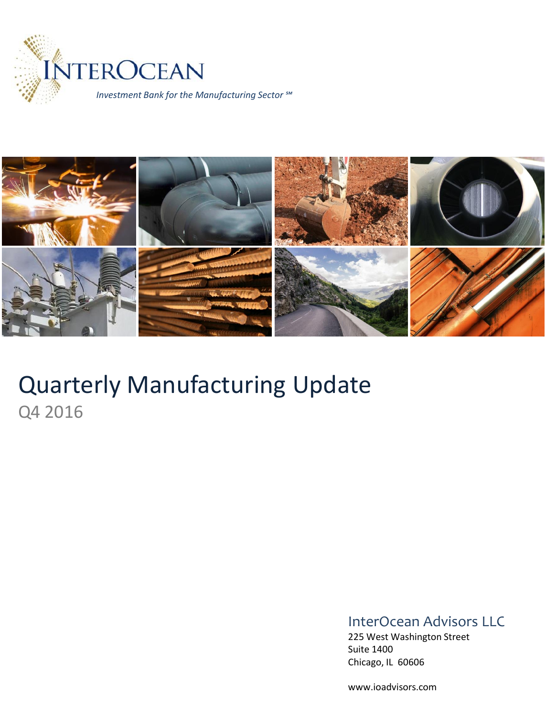



# Quarterly Manufacturing Update Q4 2016

### InterOcean Advisors LLC

225 West Washington Street Suite 1400 Chicago, IL 60606

www.ioadvisors.com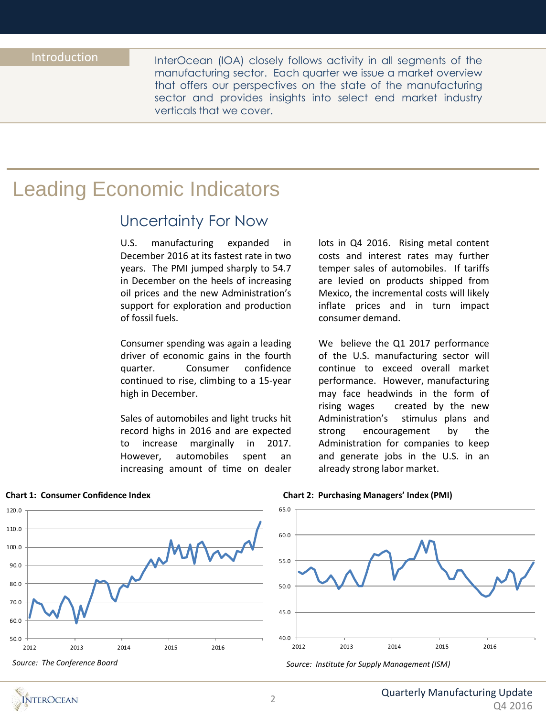InterOcean (IOA) closely follows activity in all segments of the manufacturing sector. Each quarter we issue a market overview that offers our perspectives on the state of the manufacturing sector and provides insights into select end market industry verticals that we cover.

# Leading Economic Indicators

### Uncertainty For Now

U.S. manufacturing expanded in December 2016 at its fastest rate in two years. The PMI jumped sharply to 54.7 in December on the heels of increasing oil prices and the new Administration's support for exploration and production of fossil fuels.

Consumer spending was again a leading driver of economic gains in the fourth quarter. Consumer confidence continued to rise, climbing to a 15-year high in December.

Sales of automobiles and light trucks hit record highs in 2016 and are expected to increase marginally in 2017. However, automobiles spent an increasing amount of time on dealer lots in Q4 2016. Rising metal content costs and interest rates may further temper sales of automobiles. If tariffs are levied on products shipped from Mexico, the incremental costs will likely inflate prices and in turn impact consumer demand.

We believe the Q1 2017 performance of the U.S. manufacturing sector will continue to exceed overall market performance. However, manufacturing may face headwinds in the form of rising wages created by the new Administration's stimulus plans and strong encouragement by the Administration for companies to keep and generate jobs in the U.S. in an already strong labor market.



#### **Chart 1: Consumer Confidence Index**

#### **Chart 2: Purchasing Managers' Index (PMI)**



*Source: Institute for Supply Management (ISM)*

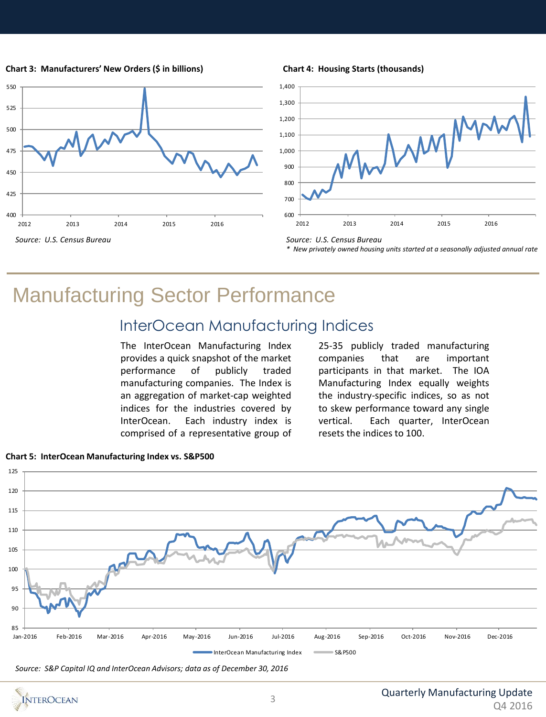**Chart 3: Manufacturers' New Orders (\$ in billions)**



#### **Chart 4: Housing Starts (thousands)**



*Source: U.S. Census Bureau \* New privately owned housing units started at a seasonally adjusted annual rate*

# Manufacturing Sector Performance

## InterOcean Manufacturing Indices

The InterOcean Manufacturing Index provides a quick snapshot of the market performance of publicly traded manufacturing companies. The Index is an aggregation of market-cap weighted indices for the industries covered by InterOcean. Each industry index is comprised of a representative group of

25-35 publicly traded manufacturing companies that are important participants in that market. The IOA Manufacturing Index equally weights the industry-specific indices, so as not to skew performance toward any single vertical. Each quarter, InterOcean resets the indices to 100.



#### **Chart 5: InterOcean Manufacturing Index vs. S&P500**

*Source: S&P Capital IQ and InterOcean Advisors; data as of December 30, 2016*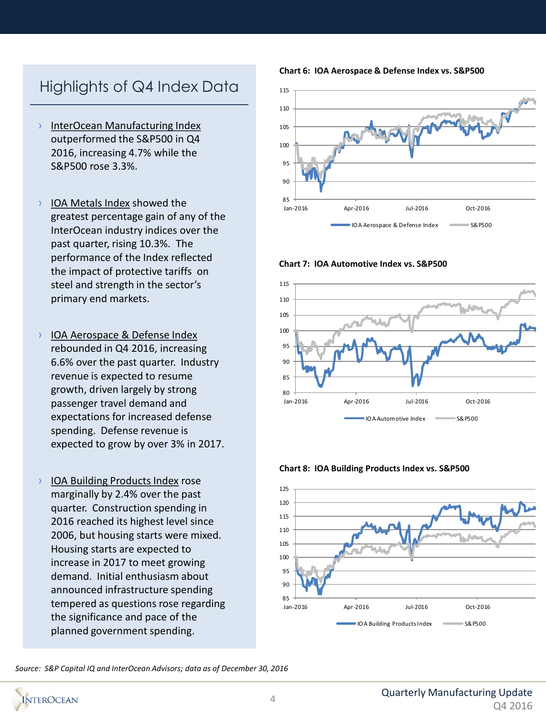# Highlights of Q4 Index Data

- › InterOcean Manufacturing Index outperformed the S&P500 in Q4 2016, increasing 4.7% while the S&P500 rose 3.3%.
- › IOA Metals Index showed the greatest percentage gain of any of the InterOcean industry indices over the past quarter, rising 10.3%. The performance of the Index reflected the impact of protective tariffs on steel and strength in the sector's primary end markets.
- › IOA Aerospace & Defense Index rebounded in Q4 2016, increasing 6.6% over the past quarter. Industry revenue is expected to resume growth, driven largely by strong passenger travel demand and expectations for increased defense spending. Defense revenue is expected to grow by over 3% in 2017.
- › IOA Building Products Index rose marginally by 2.4% over the past quarter. Construction spending in 2016 reached its highest level since 2006, but housing starts were mixed. Housing starts are expected to increase in 2017 to meet growing demand. Initial enthusiasm about announced infrastructure spending tempered as questions rose regarding the significance and pace of the planned government spending.

**Chart 6: IOA Aerospace & Defense Index vs. S&P500**



**Chart 7: IOA Automotive Index vs. S&P500**







*Source: S&P Capital IQ and InterOcean Advisors; data as of December 30, 2016*

**NTEROCEAN**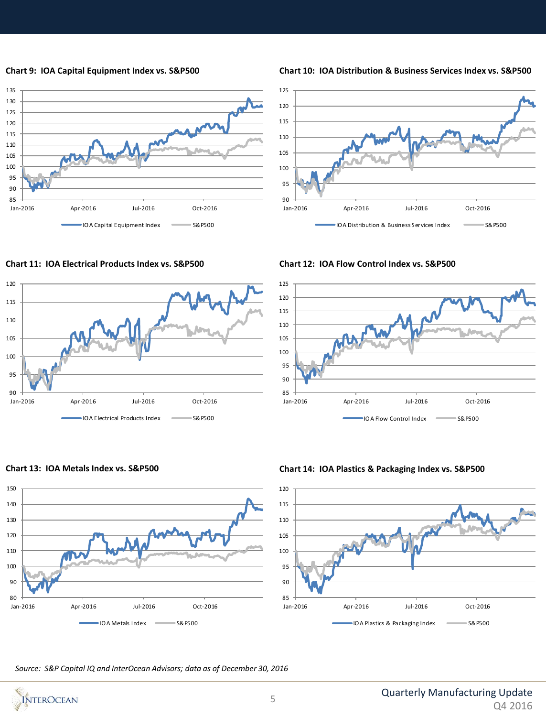





**Chart 11: IOA Electrical Products Index vs. S&P500 Chart 12: IOA Flow Control Index vs. S&P500**







**Chart 13: IOA Metals Index vs. S&P500 Chart 14: IOA Plastics & Packaging Index vs. S&P500**



*Source: S&P Capital IQ and InterOcean Advisors; data as of December 30, 2016*



#### 5

# **Chart 9: IOA Capital Equipment Index vs. S&P500 Chart 10: IOA Distribution & Business Services Index vs. S&P500**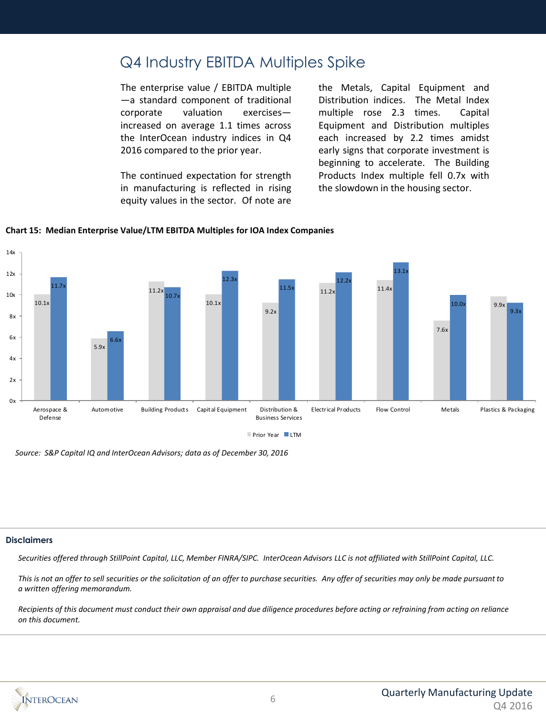### Q4 Industry EBITDA Multiples Spike

The enterprise value / EBITDA multiple —a standard component of traditional corporate valuation exercises increased on average 1.1 times across the InterOcean industry indices in Q4 2016 compared to the prior year.

The continued expectation for strength in manufacturing is reflected in rising equity values in the sector. Of note are

the Metals, Capital Equipment and Distribution indices. The Metal Index multiple rose 2.3 times. Capital Equipment and Distribution multiples each increased by 2.2 times amidst early signs that corporate investment is beginning to accelerate. The Building Products Index multiple fell 0.7x with the slowdown in the housing sector.



#### **Chart 15: Median Enterprise Value/LTM EBITDA Multiples for IOA Index Companies**

*Source: S&P Capital IQ and InterOcean Advisors; data as of December 30, 2016*

#### **Disclaimers**

*Securities offered through StillPoint Capital, LLC, Member FINRA/SIPC. InterOcean Advisors LLC is not affiliated with StillPoint Capital, LLC.*

*This is not an offer to sell securities or the solicitation of an offer to purchase securities. Any offer of securities may only be made pursuant to a written offering memorandum.*

*Recipients of this document must conduct their own appraisal and due diligence procedures before acting or refraining from acting on reliance on this document.*